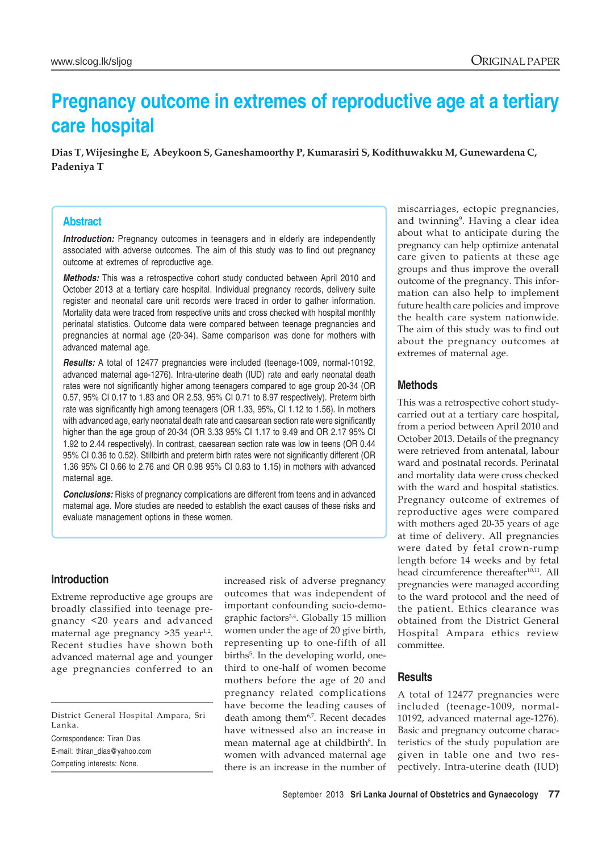# **Pregnancy outcome in extremes of reproductive age at a tertiary care hospital**

**Dias T, Wijesinghe E, Abeykoon S, Ganeshamoorthy P, Kumarasiri S, Kodithuwakku M, Gunewardena C, Padeniya T**

## **Abstract**

**Introduction:** Pregnancy outcomes in teenagers and in elderly are independently associated with adverse outcomes. The aim of this study was to find out pregnancy outcome at extremes of reproductive age.

*Methods:* This was a retrospective cohort study conducted between April 2010 and October 2013 at a tertiary care hospital. Individual pregnancy records, delivery suite register and neonatal care unit records were traced in order to gather information. Mortality data were traced from respective units and cross checked with hospital monthly perinatal statistics. Outcome data were compared between teenage pregnancies and pregnancies at normal age (20-34). Same comparison was done for mothers with advanced maternal age.

*Results:* A total of 12477 pregnancies were included (teenage-1009, normal-10192, advanced maternal age-1276). Intra-uterine death (IUD) rate and early neonatal death rates were not significantly higher among teenagers compared to age group 20-34 (OR 0.57, 95% CI 0.17 to 1.83 and OR 2.53, 95% CI 0.71 to 8.97 respectively). Preterm birth rate was significantly high among teenagers (OR 1.33, 95%, CI 1.12 to 1.56). In mothers with advanced age, early neonatal death rate and caesarean section rate were significantly higher than the age group of 20-34 (OR 3.33 95% CI 1.17 to 9.49 and OR 2.17 95% CI 1.92 to 2.44 respectively). In contrast, caesarean section rate was low in teens (OR 0.44 95% CI 0.36 to 0.52). Stillbirth and preterm birth rates were not significantly different (OR 1.36 95% CI 0.66 to 2.76 and OR 0.98 95% CI 0.83 to 1.15) in mothers with advanced maternal age.

**Conclusions:** Risks of pregnancy complications are different from teens and in advanced maternal age. More studies are needed to establish the exact causes of these risks and evaluate management options in these women.

#### **Introduction**

Extreme reproductive age groups are broadly classified into teenage pregnancy <20 years and advanced maternal age pregnancy  $>35$  year<sup>1,2</sup>. Recent studies have shown both advanced maternal age and younger age pregnancies conferred to an

District General Hospital Ampara, Sri Lanka. Correspondence: Tiran Dias E-mail: thiran\_dias@yahoo.com Competing interests: None.

increased risk of adverse pregnancy outcomes that was independent of important confounding socio-demographic factors3,4. Globally 15 million women under the age of 20 give birth, representing up to one-fifth of all births<sup>5</sup>. In the developing world, onethird to one-half of women become mothers before the age of 20 and pregnancy related complications have become the leading causes of death among them<sup>6,7</sup>. Recent decades have witnessed also an increase in mean maternal age at childbirth<sup>8</sup>. In women with advanced maternal age there is an increase in the number of miscarriages, ectopic pregnancies, and twinning<sup>9</sup>. Having a clear idea about what to anticipate during the pregnancy can help optimize antenatal care given to patients at these age groups and thus improve the overall outcome of the pregnancy. This information can also help to implement future health care policies and improve the health care system nationwide. The aim of this study was to find out about the pregnancy outcomes at extremes of maternal age.

## **Methods**

This was a retrospective cohort studycarried out at a tertiary care hospital, from a period between April 2010 and October 2013. Details of the pregnancy were retrieved from antenatal, labour ward and postnatal records. Perinatal and mortality data were cross checked with the ward and hospital statistics. Pregnancy outcome of extremes of reproductive ages were compared with mothers aged 20-35 years of age at time of delivery. All pregnancies were dated by fetal crown-rump length before 14 weeks and by fetal head circumference thereafter<sup>10,11</sup>. All pregnancies were managed according to the ward protocol and the need of the patient. Ethics clearance was obtained from the District General Hospital Ampara ethics review committee.

## **Results**

A total of 12477 pregnancies were included (teenage-1009, normal-10192, advanced maternal age-1276). Basic and pregnancy outcome characteristics of the study population are given in table one and two respectively. Intra-uterine death (IUD)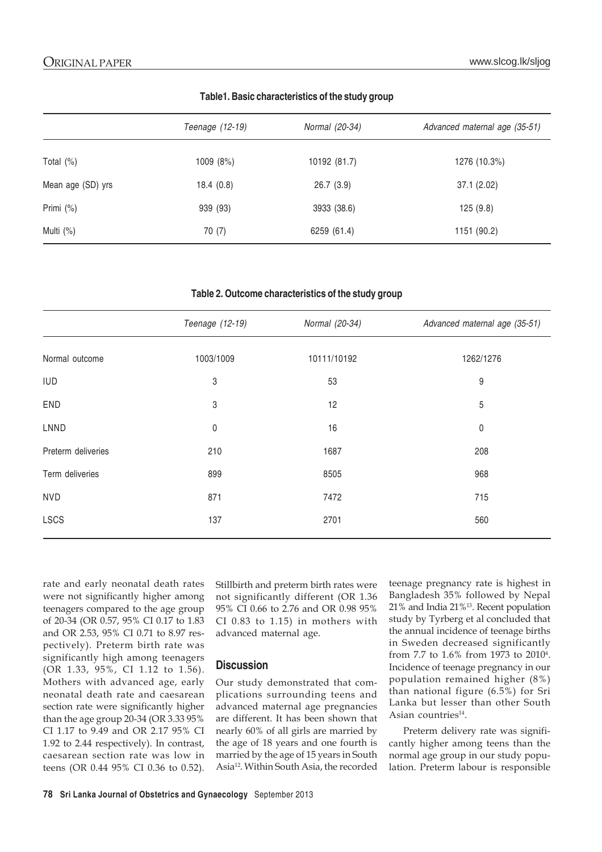|                   | Teenage (12-19) | Normal (20-34) | Advanced maternal age (35-51) |
|-------------------|-----------------|----------------|-------------------------------|
|                   |                 |                |                               |
| Total (%)         | 1009 (8%)       | 10192 (81.7)   | 1276 (10.3%)                  |
| Mean age (SD) yrs | 18.4(0.8)       | 26.7(3.9)      | 37.1(2.02)                    |
| Primi (%)         | 939 (93)        | 3933 (38.6)    | 125(9.8)                      |
| Multi (%)         | 70(7)           | 6259 (61.4)    | 1151 (90.2)                   |

**Table1. Basic characteristics of the study group**

**Table 2. Outcome characteristics of the study group**

|                    | Teenage (12-19) | Normal (20-34) | Advanced maternal age (35-51) |
|--------------------|-----------------|----------------|-------------------------------|
| Normal outcome     | 1003/1009       | 10111/10192    | 1262/1276                     |
| <b>IUD</b>         | 3               | 53             | 9                             |
| <b>END</b>         | 3               | 12             | 5                             |
| LNND               | $\mathsf 0$     | 16             | $\pmb{0}$                     |
| Preterm deliveries | 210             | 1687           | 208                           |
| Term deliveries    | 899             | 8505           | 968                           |
| <b>NVD</b>         | 871             | 7472           | 715                           |
| <b>LSCS</b>        | 137             | 2701           | 560                           |

rate and early neonatal death rates were not significantly higher among teenagers compared to the age group of 20-34 (OR 0.57, 95% CI 0.17 to 1.83 and OR 2.53, 95% CI 0.71 to 8.97 respectively). Preterm birth rate was significantly high among teenagers (OR 1.33, 95%, CI 1.12 to 1.56). Mothers with advanced age, early neonatal death rate and caesarean section rate were significantly higher than the age group 20-34 (OR 3.33 95% CI 1.17 to 9.49 and OR 2.17 95% CI 1.92 to 2.44 respectively). In contrast, caesarean section rate was low in teens (OR 0.44 95% CI 0.36 to 0.52).

Stillbirth and preterm birth rates were not significantly different (OR 1.36 95% CI 0.66 to 2.76 and OR 0.98 95% CI 0.83 to 1.15) in mothers with advanced maternal age.

## **Discussion**

Our study demonstrated that complications surrounding teens and advanced maternal age pregnancies are different. It has been shown that nearly 60% of all girls are married by the age of 18 years and one fourth is married by the age of 15 years in South Asia12. Within South Asia, the recorded teenage pregnancy rate is highest in Bangladesh 35% followed by Nepal 21% and India 21%13. Recent population study by Tyrberg et al concluded that the annual incidence of teenage births in Sweden decreased significantly from 7.7 to 1.6% from 1973 to 20104 . Incidence of teenage pregnancy in our population remained higher (8%) than national figure (6.5%) for Sri Lanka but lesser than other South Asian countries<sup>14</sup>.

Preterm delivery rate was significantly higher among teens than the normal age group in our study population. Preterm labour is responsible